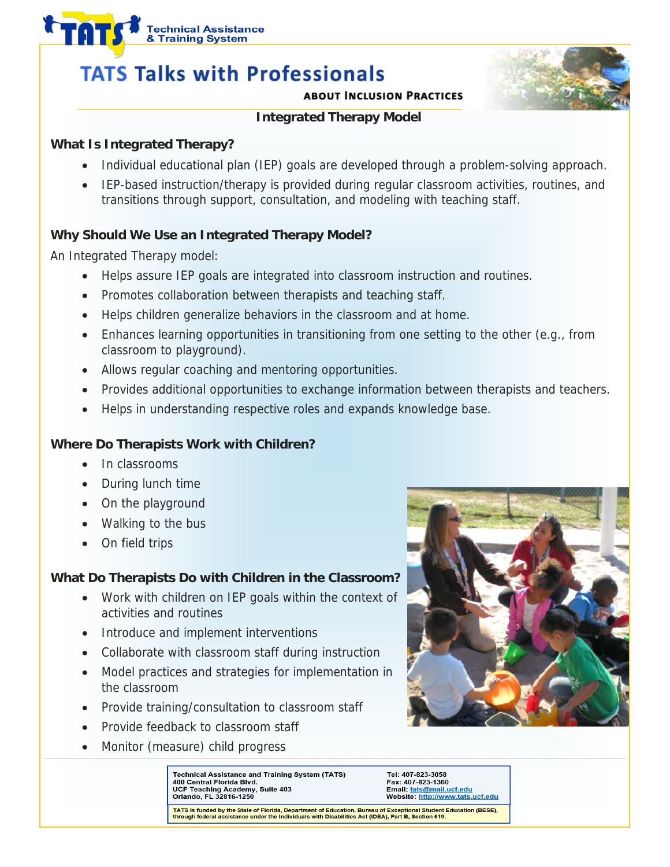# & Training System **TATS Talks with Professionals**

**Technical Assistance** 

#### **ABOUT INCLUSION PRACTICES**



## **Integrated Therapy Model**

## **What Is Integrated Therapy?**

- Individual educational plan (IEP) goals are developed through a problem-solving approach.
- IEP-based instruction/therapy is provided during regular classroom activities, routines, and transitions through support, consultation, and modeling with teaching staff.

## **Why Should We Use an Integrated Therapy Model?**

An Integrated Therapy model:

- Helps assure IEP goals are integrated into classroom instruction and routines.
- Promotes collaboration between therapists and teaching staff.
- Helps children generalize behaviors in the classroom and at home.
- Enhances learning opportunities in transitioning from one setting to the other (e.g., from classroom to playground).
- Allows regular coaching and mentoring opportunities.
- Provides additional opportunities to exchange information between therapists and teachers.
- Helps in understanding respective roles and expands knowledge base.

## **Where Do Therapists Work with Children?**

- In classrooms
- During lunch time
- On the playground
- Walking to the bus
- On field trips

## **What Do Therapists Do with Children in the Classroom?**

- Work with children on IEP goals within the context of activities and routines
- Introduce and implement interventions
- Collaborate with classroom staff during instruction
- Model practices and strategies for implementation in the classroom
- Provide training/consultation to classroom staff
- Provide feedback to classroom staff
- Monitor (measure) child progress



Technical Assistance and Training System (TATS) 400 Central Florida Blvd.<br>UCF Teaching Academy, Suite 403 Orlando, FL 32816-1250

Tel: 407-823-3058 Fax: 407-823-1360 Email: tats@mail.ucf.edu Website: http://www.tats.ucf.edu

TATS is funded by the State of Florida, Department of Education, Bureau of Exceptional Student Education (BESE), through federal assistance under the Individuals with Disabilities Act (IDEA), Part B, Section 619.